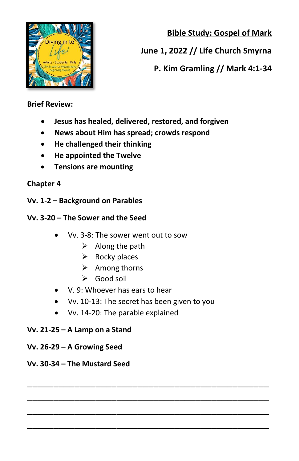**Bible Study: Gospel of Mark**



# **June 1, 2022 // Life Church Smyrna**

## **P. Kim Gramling // Mark 4:1-34**

#### **Brief Review:**

- **Jesus has healed, delivered, restored, and forgiven**
- **News about Him has spread; crowds respond**
- **He challenged their thinking**
- **He appointed the Twelve**
- **Tensions are mounting**

## **Chapter 4**

**Vv. 1-2 – Background on Parables** 

## **Vv. 3-20 – The Sower and the Seed**

- Vv. 3-8: The sower went out to sow
	- $\triangleright$  Along the path
	- $\triangleright$  Rocky places
	- ➢ Among thorns
	- ➢ Good soil
- V. 9: Whoever has ears to hear
- Vv. 10-13: The secret has been given to you

\_\_\_\_\_\_\_\_\_\_\_\_\_\_\_\_\_\_\_\_\_\_\_\_\_\_\_\_\_\_\_\_\_\_\_\_\_\_\_\_\_\_\_\_\_\_ \_\_\_\_\_\_\_\_\_\_\_\_\_\_\_\_\_\_\_\_\_\_\_\_\_\_\_\_\_\_\_\_\_\_\_\_\_\_\_\_\_\_\_\_\_\_ \_\_\_\_\_\_\_\_\_\_\_\_\_\_\_\_\_\_\_\_\_\_\_\_\_\_\_\_\_\_\_\_\_\_\_\_\_\_\_\_\_\_\_\_\_\_ \_\_\_\_\_\_\_\_\_\_\_\_\_\_\_\_\_\_\_\_\_\_\_\_\_\_\_\_\_\_\_\_\_\_\_\_\_\_\_\_\_\_\_\_\_\_

• Vv. 14-20: The parable explained

## **Vv. 21-25 – A Lamp on a Stand**

**Vv. 26-29 – A Growing Seed**

## **Vv. 30-34 – The Mustard Seed**